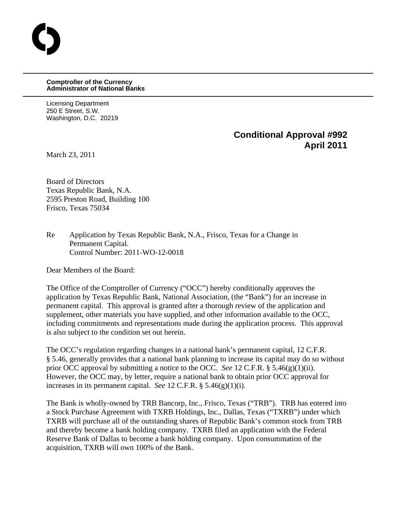## **Comptroller of the Currency Administrator of National Banks**

Licensing Department 250 E Street, S.W. Washington, D.C. 20219

## **Conditional Approval #992 April 2011**

March 23, 2011

O

Board of Directors Texas Republic Bank, N.A. 2595 Preston Road, Building 100 Frisco, Texas 75034

Re Application by Texas Republic Bank, N.A., Frisco, Texas for a Change in Permanent Capital. Control Number: 2011-WO-12-0018

Dear Members of the Board:

The Office of the Comptroller of Currency ("OCC") hereby conditionally approves the application by Texas Republic Bank, National Association, (the "Bank") for an increase in permanent capital. This approval is granted after a thorough review of the application and supplement, other materials you have supplied, and other information available to the OCC, including commitments and representations made during the application process. This approval is also subject to the condition set out herein.

The OCC's regulation regarding changes in a national bank's permanent capital, 12 C.F.R. § 5.46, generally provides that a national bank planning to increase its capital may do so without prior OCC approval by submitting a notice to the OCC. *See* 12 C.F.R. § 5.46(g)(1)(ii). However, the OCC may, by letter, require a national bank to obtain prior OCC approval for increases in its permanent capital. *See* 12 C.F.R. § 5.46(g)(1)(i).

The Bank is wholly-owned by TRB Bancorp, Inc., Frisco, Texas ("TRB"). TRB has entered into a Stock Purchase Agreement with TXRB Holdings, Inc., Dallas, Texas ("TXRB") under which TXRB will purchase all of the outstanding shares of Republic Bank's common stock from TRB and thereby become a bank holding company. TXRB filed an application with the Federal Reserve Bank of Dallas to become a bank holding company. Upon consummation of the acquisition, TXRB will own 100% of the Bank.